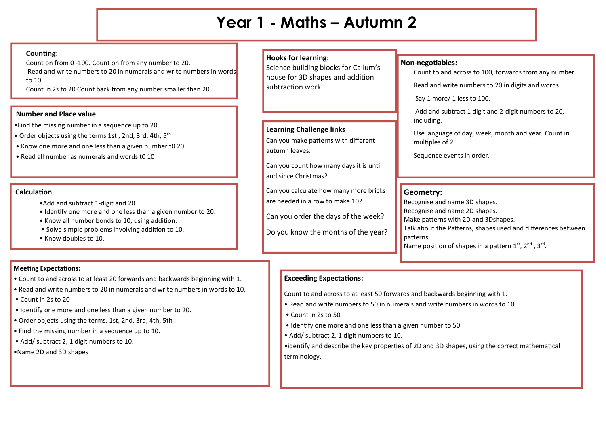# **Year 1 - Maths – Autumn 2**

### **Counting:**

Count on from 0 -100. Count on from any number to 20. Read and write numbers to 20 in numerals and write numbers in words to 10 .

Count in 2s to 20 Count back from any number smaller than 20

#### **Number and Place value**

•Find the missing number in a sequence up to 20

- Order objects using the terms 1st, 2nd, 3rd, 4th, 5<sup>th</sup>
- Know one more and one less than a given number t0 20
- Read all number as numerals and words t0 10

### **Calculation**

- •Add and subtract 1-digit and 20.
- Identify one more and one less than a given number to 20.
- Know all number bonds to 10, using addition.
- Solve simple problems involving addition to 10.
- Know doubles to 10.

#### **Meeting Expectations:**

- Count to and across to at least 20 forwards and backwards beginning with 1.
- Read and write numbers to 20 in numerals and write numbers in words to 10.
- Count in 2s to 20
- Identify one more and one less than a given number to 20.
- Order objects using the terms, 1st, 2nd, 3rd, 4th, 5th .
- Find the missing number in a sequence up to 10.
- Add/ subtract 2, 1 digit numbers to 10.
- •Name 2D and 3D shapes

## **Hooks for learning:**

Science building blocks for Callum's house for 3D shapes and addition subtraction work.

## **Learning Challenge links**

Can you make patterns with different autumn leaves.

Can you count how many days it is until and since Christmas?

Can you calculate how many more bricks are needed in a row to make 10?

Can you order the days of the week?

Do you know the months of the year?

#### **Non-negotiables:** Count to and across to 100, forwards from any number.

Read and write numbers to 20 in digits and words.

Say 1 more/ 1 less to 100.

Add and subtract 1 digit and 2-digit numbers to 20, including.

Use language of day, week, month and year. Count in multiples of 2

Sequence events in order.

## **Geometry:**

Recognise and name 3D shapes. Recognise and name 2D shapes. Make patterns with 2D and 3Dshapes. Talk about the Patterns, shapes used and differences between patterns. Name position of shapes in a pattern  $1^{st}$ ,  $2^{nd}$ ,  $3^{rd}$ .

## **Exceeding Expectations:**

Count to and across to at least 50 forwards and backwards beginning with 1.

- Read and write numbers to 50 in numerals and write numbers in words to 10.
- Count in 2s to 50
- Identify one more and one less than a given number to 50.
- Add/ subtract 2, 1 digit numbers to 10.

•identify and describe the key properties of 2D and 3D shapes, using the correct mathematical terminology.